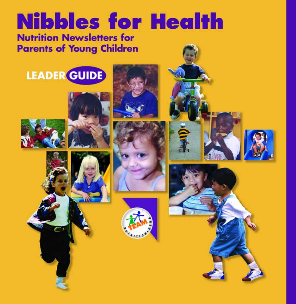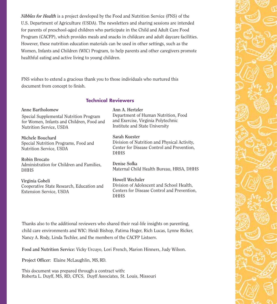*Nibbles for Health* is a project developed by the Food and Nutrition Service (FNS) of the U.S. Department of Agriculture (USDA). The newsletters and sharing sessions are intended for parents of preschool-aged children who participate in the Child and Adult Care Food Program (CACFP), which provides meals and snacks in childcare and adult daycare facilities. However, these nutrition education materials can be used in other settings, such as the Women, Infants and Children (WIC) Program, to help parents and other caregivers promote healthful eating and active living to young children.

FNS wishes to extend a gracious thank you to those individuals who nurtured this document from concept to finish.

## **Technical Reviewers**

| Anne Bartholomew                                                                    | Ann A. Hertzler                                                                                                            |
|-------------------------------------------------------------------------------------|----------------------------------------------------------------------------------------------------------------------------|
| Special Supplemental Nutrition Program                                              | Department of Human Nutrition, Food                                                                                        |
| for Women, Infants and Children, Food and                                           | and Exercise, Virginia Polytechnic                                                                                         |
| Nutrition Service, USDA                                                             | Institute and State University                                                                                             |
| Michele Bouchard<br>Special Nutrition Programs, Food and<br>Nutrition Service, USDA | Sarah Kuester<br>Division of Nutrition and Physical Activity,<br>Center for Disease Control and Prevention,<br><b>DHHS</b> |
| <b>Robin Brocato</b><br>Administration for Children and Families,<br><b>DHHS</b>    | Denise Sofka<br>Maternal Child Health Bureau, HRSA, DHHS                                                                   |
| Virginia Gobeli                                                                     | <b>Howell Wechsler</b>                                                                                                     |
| Cooperative State Research, Education and                                           | Division of Adolescent and School Health,                                                                                  |
| Extension Service, USDA                                                             | Centers for Disease Control and Prevention,                                                                                |

Thanks also to the additional reviewers who shared their real-life insights on parenting, child care environments and WIC: Heidi Bishop, Fatima Hoger, Rich Lucas, Lynne Ricker, Nancy A. Rody, Linda Techler, and the members of the CACFP Listserv.

DHHS

**Food and Nutrition Service:** Vicky Urcuyo, Lori French, Marion Hinners, Judy Wilson.

**Project Officer**: Elaine McLaughlin, MS, RD.

This document was prepared through a contract with: Roberta L. Duyff, MS, RD, CFCS, Duyff Associates, St. Louis, Missouri

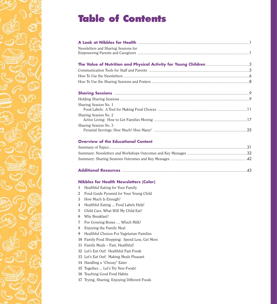# **Table of Contents**

| Newsletters and Sharing Sessions for       |  |
|--------------------------------------------|--|
|                                            |  |
|                                            |  |
|                                            |  |
|                                            |  |
|                                            |  |
|                                            |  |
|                                            |  |
|                                            |  |
|                                            |  |
| Sharing Session No. 1                      |  |
|                                            |  |
| Sharing Session No. 2                      |  |
|                                            |  |
| Sharing Session No. 3                      |  |
|                                            |  |
|                                            |  |
| <b>Overview of the Educational Content</b> |  |

# Summary of Topics............................................................................................................................31

### **Nibbles for Health Newsletters (Color)**

- **1** Healthful Eating for Your Family
- **2** Food Guide Pyramid for Your Young Child
- **3** How Much Is Enough?
- **4** Healthful Eating ... Food Labels Help!
- **5** Child Care, What Will My Child Eat?
- **6** Why Breakfast?
- **7** For Growing Bones … Which Milk?
- **8** Enjoying the Family Meal
- **9** Healthful Choices For Vegetarian Families
- **10** Family Food Shopping: Spend Less, Get More
- **11** Family Meals Fast, Healthful!
- **12** Let's Eat Out! Healthful Fast Foods
- **13** Let's Eat Out! Making Meals Pleasant
- **14** Handling a "Choosy" Eater
- **15** Together… Let's Try New Foods!
- **16** Teaching Good Food Habits
- **17** Trying, Sharing, Enjoying Different Foods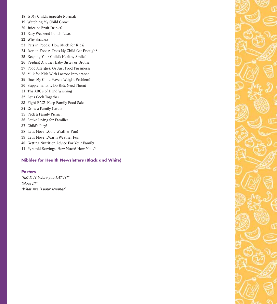- Is My Child's Appetite Normal?
- Watching My Child Grow!
- Juice or Fruit Drinks?
- Easy Weekend Lunch Ideas
- Why Snacks?
- Fats in Foods: How Much for Kids?
- Iron in Foods: Does My Child Get Enough?
- Keeping Your Child's Healthy Smile!
- Feeding Another Baby Sister or Brother
- Food Allergies, Or Just Food Fussiness?
- Milk for Kids With Lactose Intolerance
- Does My Child Have a Weight Problem?
- Supplements… Do Kids Need Them?
- The ABC's of Hand Washing
- Let's Cook Together
- Fight BAC! Keep Family Food Safe
- Grow a Family Garden!
- Pack a Family Picnic!
- Active Living for Families
- Child's Play!
- Let's Move…Cold Weather Fun!
- Let's Move…Warm Weather Fun!
- Getting Nutrition Advice For Your Family
- Pyramid Servings: How Much? How Many?

### **Nibbles for Health Newsletters (Black and White)**

#### **Posters**

*"READ IT before you EAT IT!" "Move It!" "What size is your serving?"*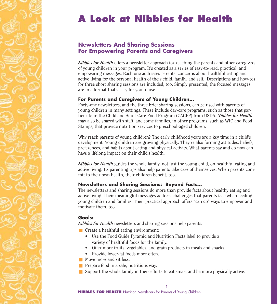# **A Look at Nibbles for Health**

# **Newsletters And Sharing Sessions For Empowering Parents and Caregivers**

*Nibbles for Health* offers a newsletter approach for reaching the parents and other caregivers of young children in your program. It's created as a series of easy-to-read, practical, and empowering messages. Each one addresses parents' concerns about healthful eating and active living for the personal health of their child, family, and self. Descriptions and how-tos for three short sharing sessions are included, too. Simply presented, the focused messages are in a format that's easy for you to use.

# **For Parents and Caregivers of Young Children…**

Forty-one newsletters, and the three brief sharing sessions, can be used with parents of young children in many settings. These include day-care programs, such as those that participate in the Child and Adult Care Food Program (CACFP) from USDA. *Nibbles for Health* may also be shared with staff, and some families, in other programs, such as WIC and Food Stamps, that provide nutrition services to preschool-aged children.

Why reach parents of young children? The early childhood years are a key time in a child's development. Young children are growing physically. They're also forming attitudes, beliefs, preferences, and habits about eating and physical activity. What parents say and do now can have a lifelong impact on their child's health.

*Nibbles for Health* guides the whole family, not just the young child, on healthful eating and active living. Its parenting tips also help parents take care of themselves. When parents commit to their own health, their children benefit, too.

# **Newsletters and Sharing Sessions: Beyond Facts…**

The newsletters and sharing sessions do more than provide facts about healthy eating and active living. Their meaningful messages address challenges that parents face when feeding young children and families. Their practical approach offers "can do" ways to empower and motivate them, too.

# **Goals:**

*Nibbles for Health* newsletters and sharing sessions help parents:

- Create a healthful eating environment:
	- Use the Food Guide Pyramid and Nutrition Facts label to provide a variety of healthful foods for the family.
	- Offer more fruits, vegetables, and grain products in meals and snacks.
	- Provide lower-fat foods more often.
- Move more and sit less.
- Prepare food in a safe, nutritious way.
- $\blacksquare$  Support the whole family in their efforts to eat smart and be more physically active.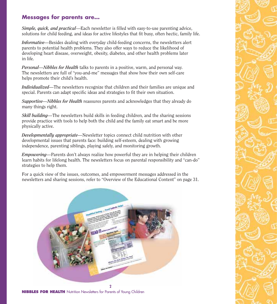# **Messages for parents are…**

*Simple, quick, and practical*—Each newsletter is filled with easy-to-use parenting advice, solutions for child feeding, and ideas for active lifestyles that fit busy, often hectic, family life.

*Informative—*Besides dealing with everyday child-feeding concerns, the newsletters alert parents to potential health problems. They also offer ways to reduce the likelihood of developing heart disease, overweight, obesity, diabetes, and other health problems later in life.

*Personal—Nibbles for Health* talks to parents in a positive, warm, and personal way. The newsletters are full of "you-and-me" messages that show how their own self-care helps promote their child's health.

*Individualized—*The newsletters recognize that children and their families are unique and special. Parents can adapt specific ideas and strategies to fit their own situation.

*Supportive—Nibbles for Health* reassures parents and acknowledges that they already do many things right.

*Skill building—*The newsletters build skills in feeding children, and the sharing sessions provide practice with tools to help both the child and the family eat smart and be more physically active.

*Developmentally appropriate—*Newsletter topics connect child nutrition with other developmental issues that parents face: building self-esteem, dealing with growing independence, parenting siblings, playing safely, and monitoring growth.

*Empowering—*Parents don't always realize how powerful they are in helping their children learn habits for lifelong health. The newsletters focus on parental responsibility and "can-do" strategies to help them.

For a quick view of the issues, outcomes, and empowerment messages addressed in the newsletters and sharing sessions, refer to "Overview of the Educational Content" on page 31.



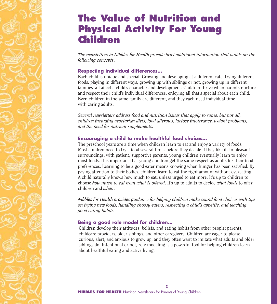# **The Value of Nutrition and Physical Activity For Young Children**

*The newsletters in Nibbles for Health provide brief additional information that builds on the following concepts*.

# **Respecting individual differences…**

Each child is unique and special. Growing and developing at a different rate, trying different foods, playing in different ways, growing up with siblings or not, growing up in different families–all affect a child's character and development. Children thrive when parents nurture and respect their child's individual differences, enjoying all that's special about each child. Even children in the same family are different, and they each need individual time with caring adults.

*Several newsletters address food and nutrition issues that apply to some, but not all, children including vegetarian diets, food allergies, lactose intolerance, weight problems, and the need for nutrient supplements*.

# **Encouraging a child to make healthful food choices…**

The preschool years are a time when children learn to eat and enjoy a variety of foods. Most children need to try a food several times before they decide if they like it. In pleasant surroundings, with patient, supportive parents, young children eventually learn to enjoy most foods. It is important that young children get the same respect as adults for their food preferences. Learning to be a good eater means knowing when hunger has been satisfied. By paying attention to their bodies, children learn to eat the right amount without overeating. A child naturally knows how much to eat, unless urged to eat more. It's up to children to choose *how much to eat from what is offered*. It's up to adults to decide *what foods* to offer children and *when*.

*Nibbles for Health provides guidance for helping children make sound food choices with tips on trying new foods, handling choosy eaters, respecting a child's appetite, and teaching good eating habits.*

## **Being a good role model for children…**

Children develop their attitudes, beliefs, and eating habits from other people: parents, childcare providers, older siblings, and other caregivers. Children are eager to please, curious, alert, and anxious to grow up, and they often want to imitate what adults and older siblings do. Intentional or not, role modeling is a powerful tool for helping children learn about healthful eating and active living.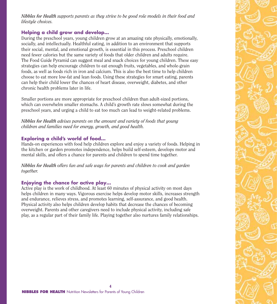*Nibbles for Health supports parents as they strive to be good role models in their food and lifestyle choices.*

# **Helping a child grow and develop…**

During the preschool years, young children grow at an amazing rate physically, emotionally, socially, and intellectually. Healthful eating, in addition to an environment that supports their social, mental, and emotional growth, is essential in this process. Preschool children need fewer calories but the same variety of foods that older children and adults require. The Food Guide Pyramid can suggest meal and snack choices for young children. These easy strategies can help encourage children to eat enough fruits, vegetables, and whole-grain foods, as well as foods rich in iron and calcium. This is also the best time to help children choose to eat more low-fat and lean foods. Using these strategies for smart eating, parents can help their child lower the chances of heart disease, overweight, diabetes, and other chronic health problems later in life.

Smaller portions are more appropriate for preschool children than adult-sized portions, which can overwhelm smaller stomachs. A child's growth rate slows somewhat during the preschool years, and urging a child to eat too much can lead to weight-related problems.

*Nibbles for Health advises parents on the amount and variety of foods that young children and families need for energy, growth, and good health.*

# **Exploring a child's world of food…**

Hands-on experiences with food help children explore and enjoy a variety of foods. Helping in the kitchen or garden promotes independence, helps build self-esteem, develops motor and mental skills, and offers a chance for parents and children to spend time together.

*Nibbles for Health offers fun and safe ways for parents and children to cook and garden together.*

# **Enjoying the chance for active play…**

Active play is the work of childhood. At least 60 minutes of physical activity on most days helps children in many ways. Vigorous exercise helps develop motor skills, increases strength and endurance, relieves stress, and promotes learning, self-assurance, and good health. Physical activity also helps children develop habits that decrease the chances of becoming overweight. Parents and other caregivers need to include physical activity, including safe play, as a regular part of their family life. Playing together also nurtures family relationships.

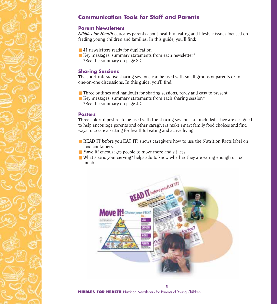# **Communication Tools for Staff and Parents**

### **Parent Newsletters**

*Nibbles for Health* educates parents about healthful eating and lifestyle issues focused on feeding young children and families. In this guide, you'll find:

- 41 newsletters ready for duplication
- Key messages: summary statements from each newsletter\* \*See the summary on page 32.

### **Sharing Sessions**

The short interactive sharing sessions can be used with small groups of parents or in one-on-one discussions. In this guide, you'll find:

- Three outlines and handouts for sharing sessions, ready and easy to present
- Key messages: summary statements from each sharing session\* \*See the summary on page 42.

#### **Posters**

Three colorful posters to be used with the sharing sessions are included. They are designed to help encourage parents and other caregivers make smart family food choices and find ways to create a setting for healthful eating and active living:

- **READ IT before you EAT IT!** shows caregivers how to use the Nutrition Facts label on food containers.
- **Move It!** encourages people to move more and sit less.
- **What size is your serving?** helps adults know whether they are eating enough or too much.

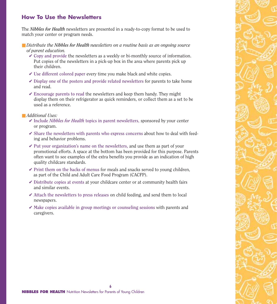# **How To Use the Newsletters**

The *Nibbles for Health* newsletters are presented in a ready-to-copy format to be used to match your center or program needs.

### ■ *Distribute the Nibbles for Health newsletters on a routine basis as an ongoing source of parent education.*

- ✔ **Copy and provide** the newsletters as a weekly or bi-monthly source of information. Put copies of the newsletters in a pick-up box in the area where parents pick up their children.
- ✔ **Use different colored paper** every time you make black and white copies.
- ✔ **Display one of the posters and provide related newsletters** for parents to take home and read.
- ✔ **Encourage parents to read** the newsletters and keep them handy. They might display them on their refrigerator as quick reminders, or collect them as a set to be used as a reference.

### ■ *Additional Uses:*

- ✔ **Include** *Nibbles for Health* **topics in parent newsletters**, sponsored by your center or program.
- ✔ **Share the newsletters with parents who express concerns** about how to deal with feeding and behavior problems.
- ✔ **Put your organization's name on the newsletters,** and use them as part of your promotional efforts. A space at the bottom has been provided for this purpose. Parents often want to see examples of the extra benefits you provide as an indication of high quality childcare standards.
- ✔ **Print them on the backs of menus** for meals and snacks served to young children, as part of the Child and Adult Care Food Program (CACFP).
- ✔ **Distribute copies at events** at your childcare center or at community health fairs and similar events.
- ✔ **Attach the newsletters to press releases** on child feeding, and send them to local newspapers.
- ✔ **Make copies available in group meetings or counseling sessions** with parents and caregivers.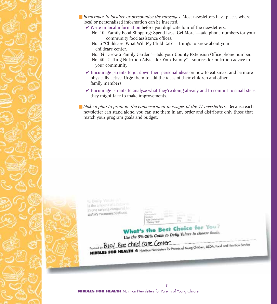- *Remember to localize or personalize the messages*. Most newsletters have places where local or personalized information can be inserted.
	- ✔ **Write in local information** before you duplicate four of the newsletters:
		- No. 10 "Family Food Shopping: Spend Less, Get More"—add phone numbers for your community food assistance offices.
		- No. 5 "Childcare: What Will My Child Eat?"—things to know about your childcare center.
		- No. 34 "Grow a Family Garden"—add your County Extension Office phone number. No. 40 "Getting Nutrition Advice for Your Family"—sources for nutrition advice in your community
	- ✔ **Encourage parents to jot down their personal ideas** on how to eat smart and be more physically active. Urge them to add the ideas of their children and other family members.
	- ✔ **Encourage parents to analyze what they're doing already and to commit to small steps** they might take to make improvements.
- *Make a plan to promote the empowerment messages of the 41 newsletters.* Because each newsletter can stand alone, you can use them in any order and distribute only those that match your program goals and budget.



to Daily Velus (1) In the amount of a not way in one serving compared to dietary recommendations.

|                 | de le stato |  |  |
|-----------------|-------------|--|--|
| Total Civility) |             |  |  |
|                 | $\sim$      |  |  |

# What's the Best Choice for You?

**What's the Best**<br>Use the 5%-20% Guide to Daily Values to choose foods.

Procedule Busy Bee child care Center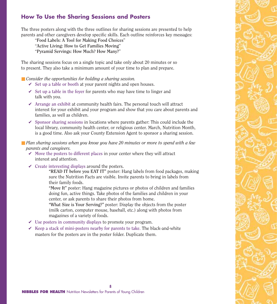# **How To Use the Sharing Sessions and Posters**

The three posters along with the three outlines for sharing sessions are presented to help parents and other caregivers develop specific skills. Each outline reinforces key messages:

"**Food Labels: A Tool for Making Food Choices**" "**Active Living: How to Get Families Moving**"

"**Pyramid Servings: How Much? How Many?**"

The sharing sessions focus on a single topic and take only about 20 minutes or so to present. They also take a minimum amount of your time to plan and prepare.

- *Consider the opportunities for holding a sharing session.* 
	- ✔ **Set up a table or booth** at your parent nights and open houses.
	- ✔ **Set up a table in the foyer** for parents who may have time to linger and talk with you.
	- ✔ **Arrange an exhibit** at community health fairs. The personal touch will attract interest for your exhibit and your program and show that you care about parents and families, as well as children.
	- ✔ **Sponsor sharing sessions** in locations where parents gather: This could include the local library, community health center, or religious center. March, Nutrition Month, is a good time. Also ask your County Extension Agent to sponsor a sharing session.

■ *Plan sharing sessions when you know you have 20 minutes or more to spend with a few parents and caregivers.*

- ✔ **Move the posters to different places** in your center where they will attract interest and attention.
- ✔ **Create interesting displays** around the posters**.**

**"READ IT before you EAT IT"** poster: Hang labels from food packages, making sure the Nutrition Facts are visible. Invite parents to bring in labels from their family foods.

**"Move It"** poster: Hang magazine pictures or photos of children and families doing fun, active things. Take photos of the families and children in your center, or ask parents to share their photos from home.

**"What Size is Your Serving?"** poster: Display the objects from the poster (milk carton, computer mouse, baseball, etc.) along with photos from magazines of a variety of foods.

- ✔ **Use posters in community displays** to promote your program.
- ✔ **Keep a stack of mini-posters nearby for parents to take**. The black-and-white masters for the posters are in the poster folder. Duplicate them.

**8**